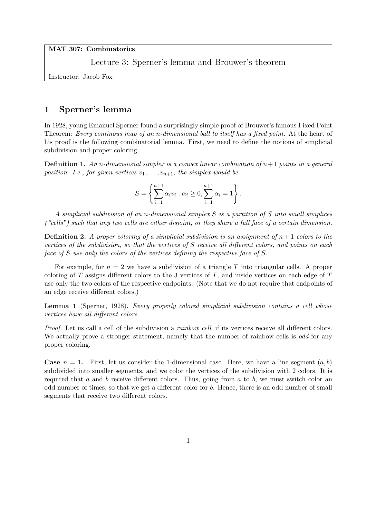MAT 307: Combinatorics

Lecture 3: Sperner's lemma and Brouwer's theorem

Instructor: Jacob Fox

## 1 Sperner's lemma

In 1928, young Emanuel Sperner found a surprisingly simple proof of Brouwer's famous Fixed Point Theorem: Every continous map of an n-dimensional ball to itself has a fixed point. At the heart of his proof is the following combinatorial lemma. First, we need to define the notions of simplicial subdivision and proper coloring.

**Definition 1.** An n-dimensional simplex is a convex linear combination of  $n+1$  points in a general position. I.e., for given vertices  $v_1, \ldots, v_{n+1}$ , the simplex would be

$$
S = \left\{ \sum_{i=1}^{n+1} \alpha_i v_i : \alpha_i \ge 0, \sum_{i=1}^{n+1} \alpha_i = 1 \right\}.
$$

A simplicial subdivision of an n-dimensional simplex S is a partition of S into small simplices ("cells") such that any two cells are either disjoint, or they share a full face of a certain dimension.

**Definition 2.** A proper coloring of a simplicial subdivision is an assignment of  $n + 1$  colors to the vertices of the subdivision, so that the vertices of S receive all different colors, and points on each face of S use only the colors of the vertices defining the respective face of S.

For example, for  $n = 2$  we have a subdivision of a triangle T into triangular cells. A proper coloring of  $T$  assigns different colors to the 3 vertices of  $T$ , and inside vertices on each edge of  $T$ use only the two colors of the respective endpoints. (Note that we do not require that endpoints of an edge receive different colors.)

Lemma 1 (Sperner, 1928). Every properly colored simplicial subdivision contains a cell whose vertices have all different colors.

Proof. Let us call a cell of the subdivision a *rainbow cell*, if its vertices receive all different colors. We actually prove a stronger statement, namely that the number of rainbow cells is odd for any proper coloring.

**Case**  $n = 1$ . First, let us consider the 1-dimensional case. Here, we have a line segment  $(a, b)$ subdivided into smaller segments, and we color the vertices of the subdivision with 2 colors. It is required that a and b receive different colors. Thus, going from a to b, we must switch color an odd number of times, so that we get a different color for b. Hence, there is an odd number of small segments that receive two different colors.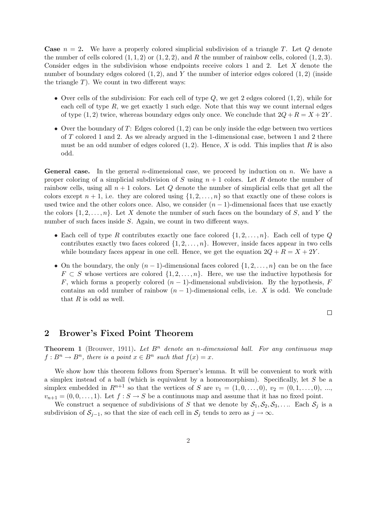**Case**  $n = 2$ . We have a properly colored simplicial subdivision of a triangle T. Let Q denote the number of cells colored  $(1, 1, 2)$  or  $(1, 2, 2)$ , and R the number of rainbow cells, colored  $(1, 2, 3)$ . Consider edges in the subdivision whose endpoints receive colors 1 and 2. Let X denote the number of boundary edges colored  $(1, 2)$ , and Y the number of interior edges colored  $(1, 2)$  (inside the triangle  $T$ ). We count in two different ways:

- Over cells of the subdivision: For each cell of type  $Q$ , we get 2 edges colored  $(1, 2)$ , while for each cell of type  $R$ , we get exactly 1 such edge. Note that this way we count internal edges of type  $(1, 2)$  twice, whereas boundary edges only once. We conclude that  $2Q + R = X + 2Y$ .
- Over the boundary of T: Edges colored  $(1, 2)$  can be only inside the edge between two vertices of T colored 1 and 2. As we already argued in the 1-dimensional case, between 1 and 2 there must be an odd number of edges colored  $(1, 2)$ . Hence, X is odd. This implies that R is also odd.

**General case.** In the general *n*-dimensional case, we proceed by induction on *n*. We have a proper coloring of a simplicial subdivision of S using  $n + 1$  colors. Let R denote the number of rainbow cells, using all  $n + 1$  colors. Let Q denote the number of simplicial cells that get all the colors except  $n + 1$ , i.e. they are colored using  $\{1, 2, \ldots, n\}$  so that exactly one of these colors is used twice and the other colors once. Also, we consider  $(n - 1)$ -dimensional faces that use exactly the colors  $\{1, 2, \ldots, n\}$ . Let X denote the number of such faces on the boundary of S, and Y the number of such faces inside S. Again, we count in two different ways.

- Each cell of type R contributes exactly one face colored  $\{1, 2, \ldots, n\}$ . Each cell of type Q contributes exactly two faces colored  $\{1, 2, \ldots, n\}$ . However, inside faces appear in two cells while boundary faces appear in one cell. Hence, we get the equation  $2Q + R = X + 2Y$ .
- On the boundary, the only  $(n-1)$ -dimensional faces colored  $\{1, 2, \ldots, n\}$  can be on the face  $F \subset S$  whose vertices are colored  $\{1, 2, \ldots, n\}$ . Here, we use the inductive hypothesis for F, which forms a properly colored  $(n-1)$ -dimensional subdivision. By the hypothesis, F contains an odd number of rainbow  $(n - 1)$ -dimensional cells, i.e. X is odd. We conclude that  $R$  is odd as well.

 $\Box$ 

## 2 Brower's Fixed Point Theorem

**Theorem 1** (Brouwer, 1911). Let  $B<sup>n</sup>$  denote an n-dimensional ball. For any continuous map  $f: B^n \to B^n$ , there is a point  $x \in B^n$  such that  $f(x) = x$ .

We show how this theorem follows from Sperner's lemma. It will be convenient to work with a simplex instead of a ball (which is equivalent by a homeomorphism). Specifically, let S be a simplex embedded in  $R^{n+1}$  so that the vertices of S are  $v_1 = (1, 0, \ldots, 0), v_2 = (0, 1, \ldots, 0), \ldots$  $v_{n+1} = (0, 0, \ldots, 1)$ . Let  $f : S \to S$  be a continuous map and assume that it has no fixed point.

We construct a sequence of subdivisions of S that we denote by  $S_1, S_2, S_3, \ldots$ . Each  $S_j$  is a subdivision of  $S_{j-1}$ , so that the size of each cell in  $S_j$  tends to zero as  $j \to \infty$ .